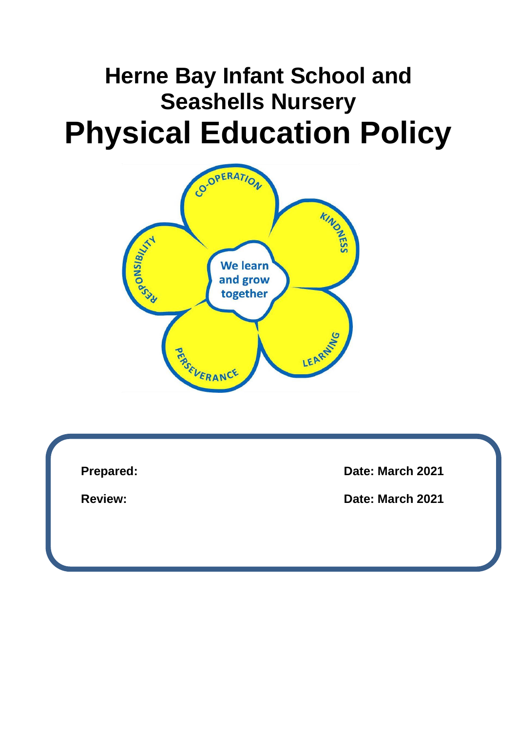# **Herne Bay Infant School and Seashells Nursery Physical Education Policy**



**Prepared: Date: March 2021**

**Review: Date: March 2021**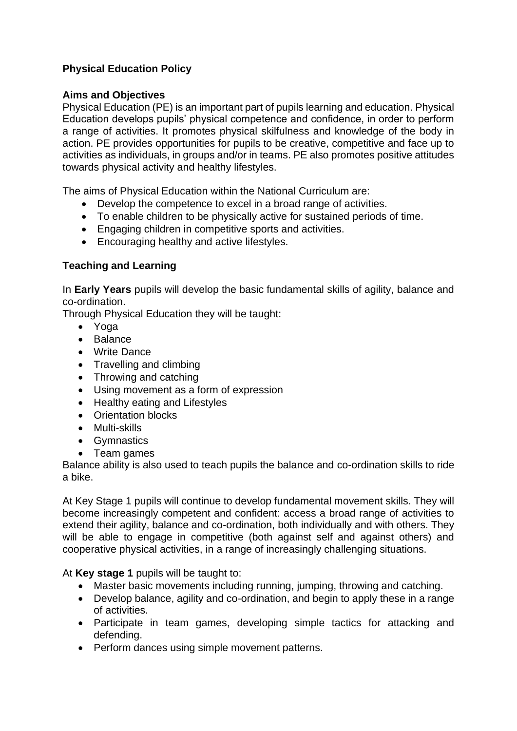## **Physical Education Policy**

#### **Aims and Objectives**

Physical Education (PE) is an important part of pupils learning and education. Physical Education develops pupils' physical competence and confidence, in order to perform a range of activities. It promotes physical skilfulness and knowledge of the body in action. PE provides opportunities for pupils to be creative, competitive and face up to activities as individuals, in groups and/or in teams. PE also promotes positive attitudes towards physical activity and healthy lifestyles.

The aims of Physical Education within the National Curriculum are:

- Develop the competence to excel in a broad range of activities.
- To enable children to be physically active for sustained periods of time.
- Engaging children in competitive sports and activities.
- Encouraging healthy and active lifestyles.

### **Teaching and Learning**

In **Early Years** pupils will develop the basic fundamental skills of agility, balance and co-ordination.

Through Physical Education they will be taught:

- Yoga
- Balance
- Write Dance
- Travelling and climbing
- Throwing and catching
- Using movement as a form of expression
- Healthy eating and Lifestyles
- Orientation blocks
- Multi-skills
- Gymnastics
- Team games

Balance ability is also used to teach pupils the balance and co-ordination skills to ride a bike.

At Key Stage 1 pupils will continue to develop fundamental movement skills. They will become increasingly competent and confident: access a broad range of activities to extend their agility, balance and co-ordination, both individually and with others. They will be able to engage in competitive (both against self and against others) and cooperative physical activities, in a range of increasingly challenging situations.

At **Key stage 1** pupils will be taught to:

- Master basic movements including running, jumping, throwing and catching.
- Develop balance, agility and co-ordination, and begin to apply these in a range of activities.
- Participate in team games, developing simple tactics for attacking and defending.
- Perform dances using simple movement patterns.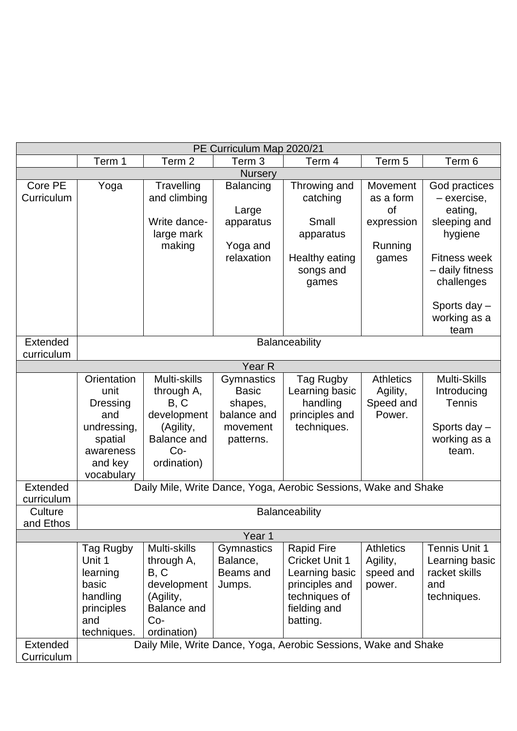| PE Curriculum Map 2020/21     |                                                                                                        |                                                                                                              |                                                                               |                                                                                                                             |                                                                      |                                                                                                                                                            |  |  |  |  |
|-------------------------------|--------------------------------------------------------------------------------------------------------|--------------------------------------------------------------------------------------------------------------|-------------------------------------------------------------------------------|-----------------------------------------------------------------------------------------------------------------------------|----------------------------------------------------------------------|------------------------------------------------------------------------------------------------------------------------------------------------------------|--|--|--|--|
|                               | Term 1                                                                                                 | Term <sub>2</sub>                                                                                            | Term <sub>3</sub>                                                             | Term 4                                                                                                                      | Term <sub>5</sub>                                                    | Term 6                                                                                                                                                     |  |  |  |  |
| <b>Nursery</b>                |                                                                                                        |                                                                                                              |                                                                               |                                                                                                                             |                                                                      |                                                                                                                                                            |  |  |  |  |
| Core PE<br>Curriculum         | Yoga                                                                                                   | Travelling<br>and climbing<br>Write dance-<br>large mark<br>making                                           | <b>Balancing</b><br>Large<br>apparatus<br>Yoga and<br>relaxation              | Throwing and<br>catching<br>Small<br>apparatus<br>Healthy eating<br>songs and<br>games                                      | Movement<br>as a form<br><b>of</b><br>expression<br>Running<br>games | God practices<br>- exercise,<br>eating,<br>sleeping and<br>hygiene<br><b>Fitness week</b><br>- daily fitness<br>challenges<br>Sports day -<br>working as a |  |  |  |  |
| Extended                      | team<br>Balanceability                                                                                 |                                                                                                              |                                                                               |                                                                                                                             |                                                                      |                                                                                                                                                            |  |  |  |  |
| curriculum                    |                                                                                                        |                                                                                                              |                                                                               |                                                                                                                             |                                                                      |                                                                                                                                                            |  |  |  |  |
| Year R                        |                                                                                                        |                                                                                                              |                                                                               |                                                                                                                             |                                                                      |                                                                                                                                                            |  |  |  |  |
|                               | Orientation<br>unit<br>Dressing<br>and<br>undressing,<br>spatial<br>awareness<br>and key<br>vocabulary | Multi-skills<br>through A,<br>B, C<br>development<br>(Agility,<br><b>Balance and</b><br>$Co-$<br>ordination) | Gymnastics<br><b>Basic</b><br>shapes,<br>balance and<br>movement<br>patterns. | Tag Rugby<br>Learning basic<br>handling<br>principles and<br>techniques.                                                    | <b>Athletics</b><br>Agility,<br>Speed and<br>Power.                  | Multi-Skills<br>Introducing<br>Tennis<br>Sports day -<br>working as a<br>team.                                                                             |  |  |  |  |
| Extended<br>curriculum        | Daily Mile, Write Dance, Yoga, Aerobic Sessions, Wake and Shake                                        |                                                                                                              |                                                                               |                                                                                                                             |                                                                      |                                                                                                                                                            |  |  |  |  |
| Culture<br>and Ethos          | <b>Balanceability</b>                                                                                  |                                                                                                              |                                                                               |                                                                                                                             |                                                                      |                                                                                                                                                            |  |  |  |  |
| Year 1                        |                                                                                                        |                                                                                                              |                                                                               |                                                                                                                             |                                                                      |                                                                                                                                                            |  |  |  |  |
|                               | Tag Rugby<br>Unit 1<br>learning<br>basic<br>handling<br>principles<br>and<br>techniques.               | Multi-skills<br>through A,<br>B, C<br>development<br>(Agility,<br><b>Balance and</b><br>$Co-$<br>ordination) | Gymnastics<br>Balance,<br>Beams and<br>Jumps.                                 | <b>Rapid Fire</b><br><b>Cricket Unit 1</b><br>Learning basic<br>principles and<br>techniques of<br>fielding and<br>batting. | <b>Athletics</b><br>Agility,<br>speed and<br>power.                  | <b>Tennis Unit 1</b><br>Learning basic<br>racket skills<br>and<br>techniques.                                                                              |  |  |  |  |
| <b>Extended</b><br>Curriculum |                                                                                                        |                                                                                                              |                                                                               | Daily Mile, Write Dance, Yoga, Aerobic Sessions, Wake and Shake                                                             |                                                                      |                                                                                                                                                            |  |  |  |  |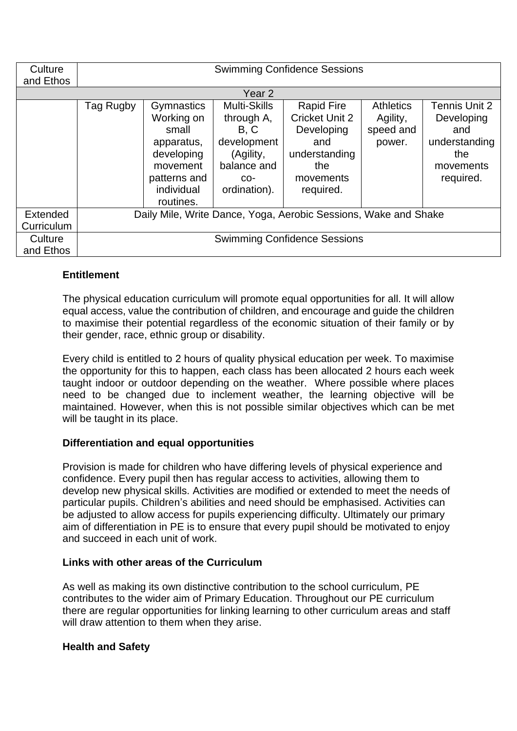| Culture<br>and Ethos   | <b>Swimming Confidence Sessions</b>                             |                                                                                                                      |                                                                                                               |                                                                                                            |                                                     |                                                                                      |  |  |  |  |  |  |
|------------------------|-----------------------------------------------------------------|----------------------------------------------------------------------------------------------------------------------|---------------------------------------------------------------------------------------------------------------|------------------------------------------------------------------------------------------------------------|-----------------------------------------------------|--------------------------------------------------------------------------------------|--|--|--|--|--|--|
| Year <sub>2</sub>      |                                                                 |                                                                                                                      |                                                                                                               |                                                                                                            |                                                     |                                                                                      |  |  |  |  |  |  |
|                        | Tag Rugby                                                       | Gymnastics<br>Working on<br>small<br>apparatus,<br>developing<br>movement<br>patterns and<br>individual<br>routines. | <b>Multi-Skills</b><br>through A,<br>B, C<br>development<br>(Agility,<br>balance and<br>$CO-$<br>ordination). | <b>Rapid Fire</b><br>Cricket Unit 2<br>Developing<br>and<br>understanding<br>the<br>movements<br>required. | <b>Athletics</b><br>Agility,<br>speed and<br>power. | Tennis Unit 2<br>Developing<br>and<br>understanding<br>the<br>movements<br>required. |  |  |  |  |  |  |
| Extended<br>Curriculum | Daily Mile, Write Dance, Yoga, Aerobic Sessions, Wake and Shake |                                                                                                                      |                                                                                                               |                                                                                                            |                                                     |                                                                                      |  |  |  |  |  |  |
| Culture<br>and Ethos   | <b>Swimming Confidence Sessions</b>                             |                                                                                                                      |                                                                                                               |                                                                                                            |                                                     |                                                                                      |  |  |  |  |  |  |

### **Entitlement**

The physical education curriculum will promote equal opportunities for all. It will allow equal access, value the contribution of children, and encourage and guide the children to maximise their potential regardless of the economic situation of their family or by their gender, race, ethnic group or disability.

Every child is entitled to 2 hours of quality physical education per week. To maximise the opportunity for this to happen, each class has been allocated 2 hours each week taught indoor or outdoor depending on the weather. Where possible where places need to be changed due to inclement weather, the learning objective will be maintained. However, when this is not possible similar objectives which can be met will be taught in its place.

#### **Differentiation and equal opportunities**

Provision is made for children who have differing levels of physical experience and confidence. Every pupil then has regular access to activities, allowing them to develop new physical skills. Activities are modified or extended to meet the needs of particular pupils. Children's abilities and need should be emphasised. Activities can be adjusted to allow access for pupils experiencing difficulty. Ultimately our primary aim of differentiation in PE is to ensure that every pupil should be motivated to enjoy and succeed in each unit of work.

#### **Links with other areas of the Curriculum**

As well as making its own distinctive contribution to the school curriculum, PE contributes to the wider aim of Primary Education. Throughout our PE curriculum there are regular opportunities for linking learning to other curriculum areas and staff will draw attention to them when they arise.

#### **Health and Safety**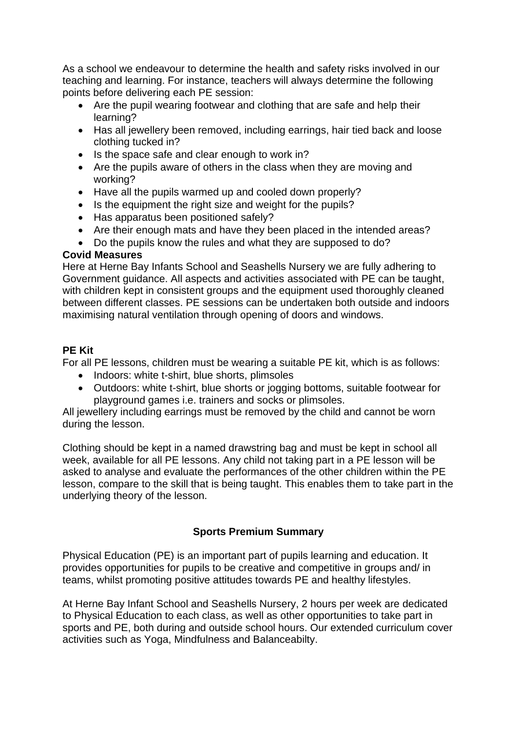As a school we endeavour to determine the health and safety risks involved in our teaching and learning. For instance, teachers will always determine the following points before delivering each PE session:

- Are the pupil wearing footwear and clothing that are safe and help their learning?
- Has all jewellery been removed, including earrings, hair tied back and loose clothing tucked in?
- Is the space safe and clear enough to work in?
- Are the pupils aware of others in the class when they are moving and working?
- Have all the pupils warmed up and cooled down properly?
- Is the equipment the right size and weight for the pupils?
- Has apparatus been positioned safely?
- Are their enough mats and have they been placed in the intended areas?
- Do the pupils know the rules and what they are supposed to do?

## **Covid Measures**

Here at Herne Bay Infants School and Seashells Nursery we are fully adhering to Government guidance. All aspects and activities associated with PE can be taught, with children kept in consistent groups and the equipment used thoroughly cleaned between different classes. PE sessions can be undertaken both outside and indoors maximising natural ventilation through opening of doors and windows.

## **PE Kit**

For all PE lessons, children must be wearing a suitable PE kit, which is as follows:

- Indoors: white t-shirt, blue shorts, plimsoles
- Outdoors: white t-shirt, blue shorts or jogging bottoms, suitable footwear for playground games i.e. trainers and socks or plimsoles.

All jewellery including earrings must be removed by the child and cannot be worn during the lesson.

Clothing should be kept in a named drawstring bag and must be kept in school all week, available for all PE lessons. Any child not taking part in a PE lesson will be asked to analyse and evaluate the performances of the other children within the PE lesson, compare to the skill that is being taught. This enables them to take part in the underlying theory of the lesson.

## **Sports Premium Summary**

Physical Education (PE) is an important part of pupils learning and education. It provides opportunities for pupils to be creative and competitive in groups and/ in teams, whilst promoting positive attitudes towards PE and healthy lifestyles.

At Herne Bay Infant School and Seashells Nursery, 2 hours per week are dedicated to Physical Education to each class, as well as other opportunities to take part in sports and PE, both during and outside school hours. Our extended curriculum cover activities such as Yoga, Mindfulness and Balanceabilty.